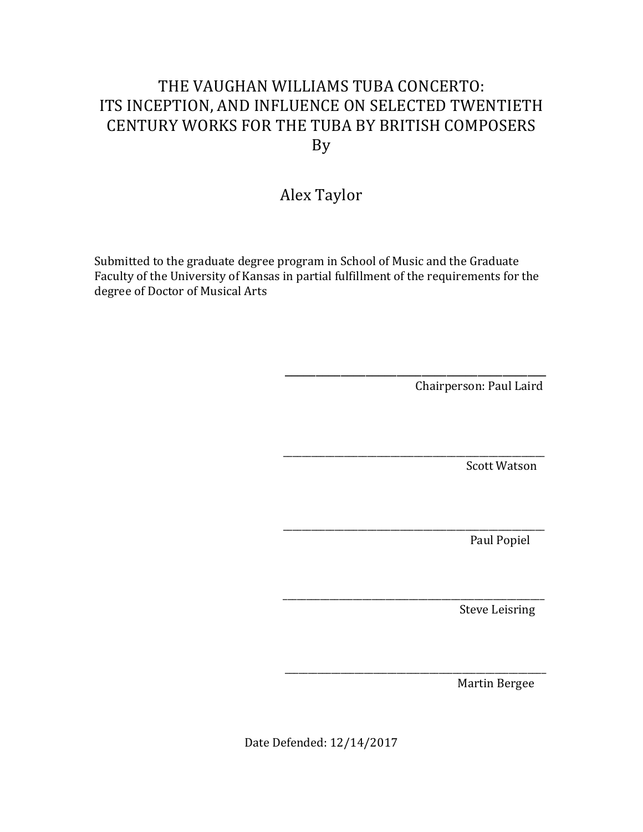## THE VAUGHAN WILLIAMS TUBA CONCERTO: ITS INCEPTION, AND INFLUENCE ON SELECTED TWENTIETH CENTURY WORKS FOR THE TUBA BY BRITISH COMPOSERS By

# Alex Taylor

Submitted to the graduate degree program in School of Music and the Graduate Faculty of the University of Kansas in partial fulfillment of the requirements for the degree of Doctor of Musical Arts

Chairperson: Paul Laird

**Scott Watson** 

Paul Popiel

**Steve Leisring** 

Martin Bergee

Date Defended: 12/14/2017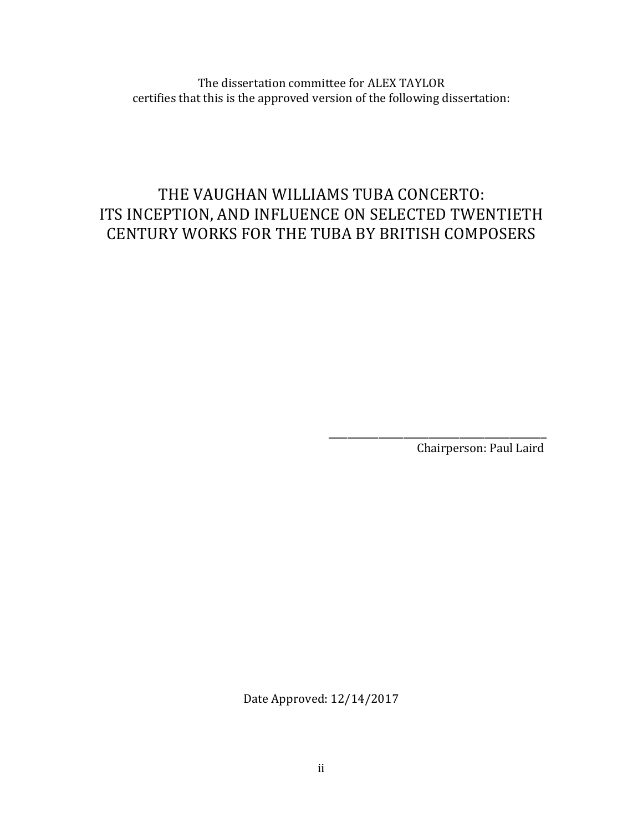The dissertation committee for ALEX TAYLOR certifies that this is the approved version of the following dissertation:

# THE VAUGHAN WILLIAMS TUBA CONCERTO: ITS INCEPTION, AND INFLUENCE ON SELECTED TWENTIETH CENTURY WORKS FOR THE TUBA BY BRITISH COMPOSERS

 $\overline{\phantom{a}}$  , and the contract of the contract of the contract of the contract of the contract of the contract of the contract of the contract of the contract of the contract of the contract of the contract of the contrac

Chairperson: Paul Laird

Date Approved: 12/14/2017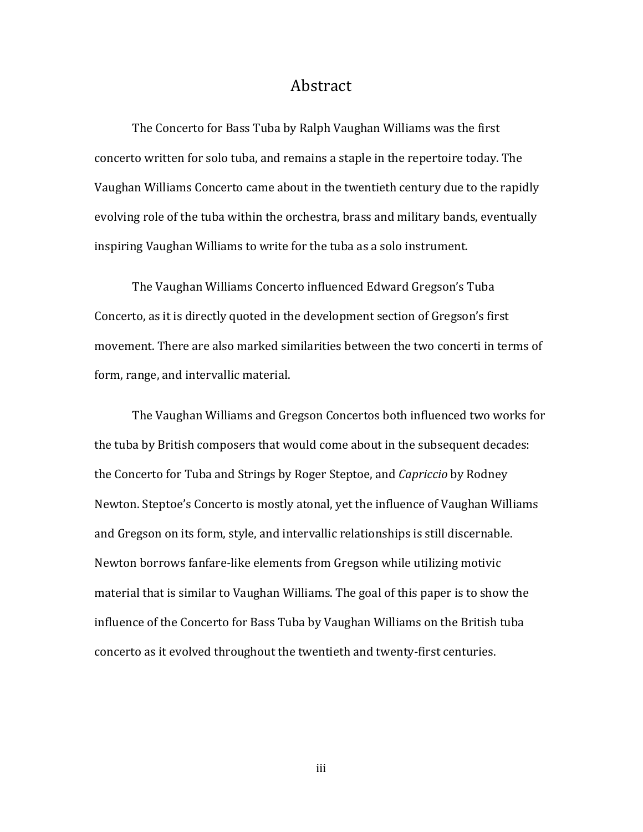#### Abstract

The Concerto for Bass Tuba by Ralph Vaughan Williams was the first concerto written for solo tuba, and remains a staple in the repertoire today. The Vaughan Williams Concerto came about in the twentieth century due to the rapidly evolving role of the tuba within the orchestra, brass and military bands, eventually inspiring Vaughan Williams to write for the tuba as a solo instrument.

The Vaughan Williams Concerto influenced Edward Gregson's Tuba Concerto, as it is directly quoted in the development section of Gregson's first movement. There are also marked similarities between the two concerti in terms of form, range, and intervallic material.

The Vaughan Williams and Gregson Concertos both influenced two works for the tuba by British composers that would come about in the subsequent decades: the Concerto for Tuba and Strings by Roger Steptoe, and *Capriccio* by Rodney Newton. Steptoe's Concerto is mostly atonal, yet the influence of Vaughan Williams and Gregson on its form, style, and intervallic relationships is still discernable. Newton borrows fanfare-like elements from Gregson while utilizing motivic material that is similar to Vaughan Williams. The goal of this paper is to show the influence of the Concerto for Bass Tuba by Vaughan Williams on the British tuba concerto as it evolved throughout the twentieth and twenty-first centuries.

iii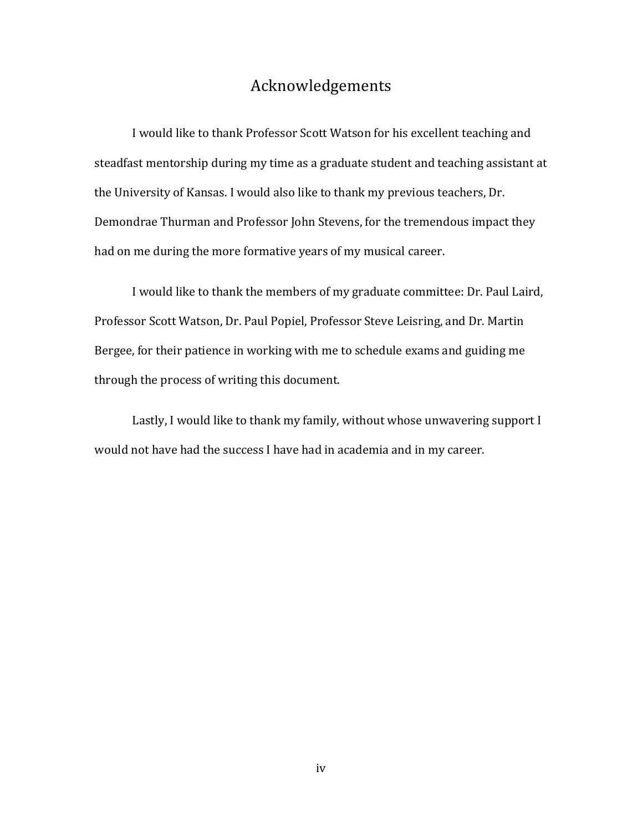### Acknowledgements

I would like to thank Professor Scott Watson for his excellent teaching and steadfast mentorship during my time as a graduate student and teaching assistant at the University of Kansas. I would also like to thank my previous teachers, Dr. Demondrae Thurman and Professor John Stevens, for the tremendous impact they had on me during the more formative years of my musical career.

I would like to thank the members of my graduate committee: Dr. Paul Laird, Professor Scott Watson, Dr. Paul Popiel, Professor Steve Leisring, and Dr. Martin Bergee, for their patience in working with me to schedule exams and guiding me through the process of writing this document.

Lastly, I would like to thank my family, without whose unwavering support I would not have had the success I have had in academia and in my career.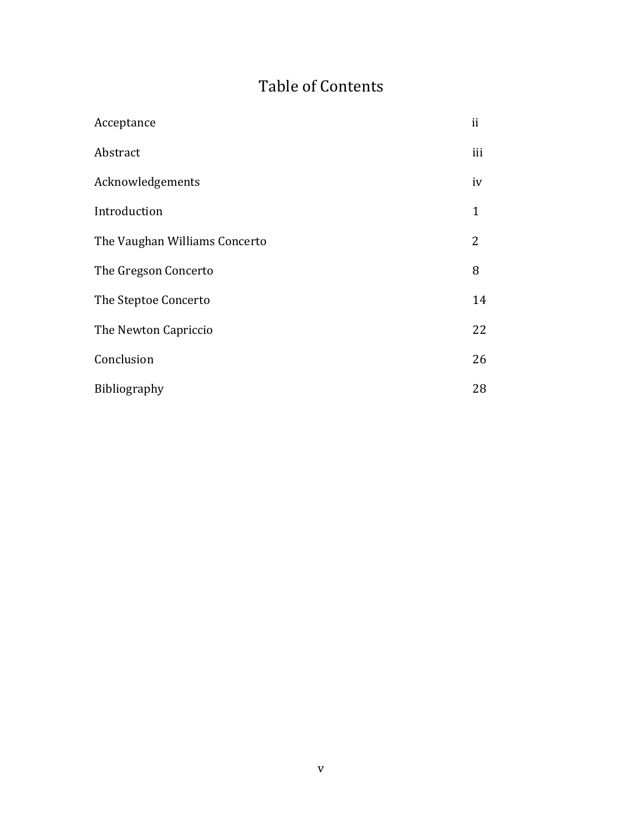# Table of Contents

| Acceptance                    | ii           |
|-------------------------------|--------------|
| Abstract                      | iii          |
| Acknowledgements              | iv           |
| Introduction                  | $\mathbf{1}$ |
| The Vaughan Williams Concerto | 2            |
| The Gregson Concerto          | 8            |
| The Steptoe Concerto          | 14           |
| The Newton Capriccio          | 22           |
| Conclusion                    | 26           |
| <b>Bibliography</b>           | 28           |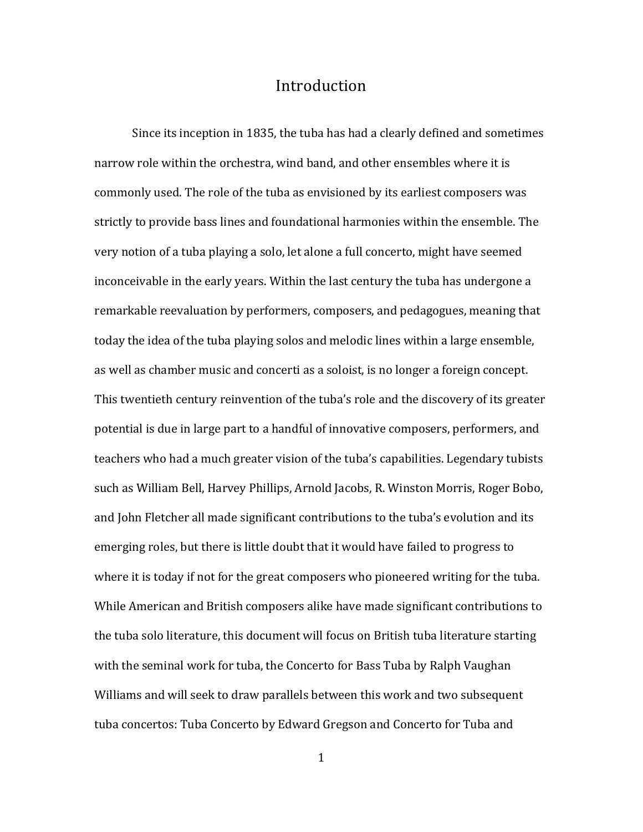#### Introduction

Since its inception in 1835, the tuba has had a clearly defined and sometimes narrow role within the orchestra, wind band, and other ensembles where it is commonly used. The role of the tuba as envisioned by its earliest composers was strictly to provide bass lines and foundational harmonies within the ensemble. The very notion of a tuba playing a solo, let alone a full concerto, might have seemed inconceivable in the early years. Within the last century the tuba has undergone a remarkable reevaluation by performers, composers, and pedagogues, meaning that today the idea of the tuba playing solos and melodic lines within a large ensemble, as well as chamber music and concerti as a soloist, is no longer a foreign concept. This twentieth century reinvention of the tuba's role and the discovery of its greater potential is due in large part to a handful of innovative composers, performers, and teachers who had a much greater vision of the tuba's capabilities. Legendary tubists such as William Bell, Harvey Phillips, Arnold Jacobs, R. Winston Morris, Roger Bobo, and John Fletcher all made significant contributions to the tuba's evolution and its emerging roles, but there is little doubt that it would have failed to progress to where it is today if not for the great composers who pioneered writing for the tuba. While American and British composers alike have made significant contributions to the tuba solo literature, this document will focus on British tuba literature starting with the seminal work for tuba, the Concerto for Bass Tuba by Ralph Vaughan Williams and will seek to draw parallels between this work and two subsequent tuba concertos: Tuba Concerto by Edward Gregson and Concerto for Tuba and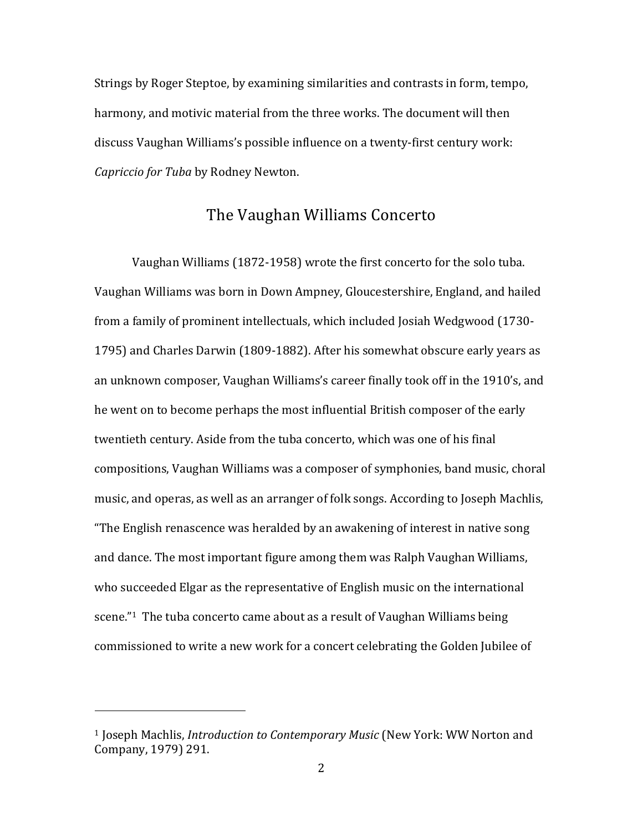Strings by Roger Steptoe, by examining similarities and contrasts in form, tempo, harmony, and motivic material from the three works. The document will then discuss Vaughan Williams's possible influence on a twenty-first century work: *Capriccio for Tuba by Rodney Newton.* 

#### The Vaughan Williams Concerto

Vaughan Williams (1872-1958) wrote the first concerto for the solo tuba. Vaughan Williams was born in Down Ampney, Gloucestershire, England, and hailed from a family of prominent intellectuals, which included Josiah Wedgwood (1730-1795) and Charles Darwin (1809-1882). After his somewhat obscure early years as an unknown composer, Vaughan Williams's career finally took off in the 1910's, and he went on to become perhaps the most influential British composer of the early twentieth century. Aside from the tuba concerto, which was one of his final compositions, Vaughan Williams was a composer of symphonies, band music, choral music, and operas, as well as an arranger of folk songs. According to Joseph Machlis, "The English renascence was heralded by an awakening of interest in native song and dance. The most important figure among them was Ralph Vaughan Williams, who succeeded Elgar as the representative of English music on the international scene."<sup>1</sup> The tuba concerto came about as a result of Vaughan Williams being commissioned to write a new work for a concert celebrating the Golden Jubilee of

<sup>&</sup>lt;sup>1</sup> Joseph Machlis, *Introduction to Contemporary Music* (New York: WW Norton and Company, 1979) 291.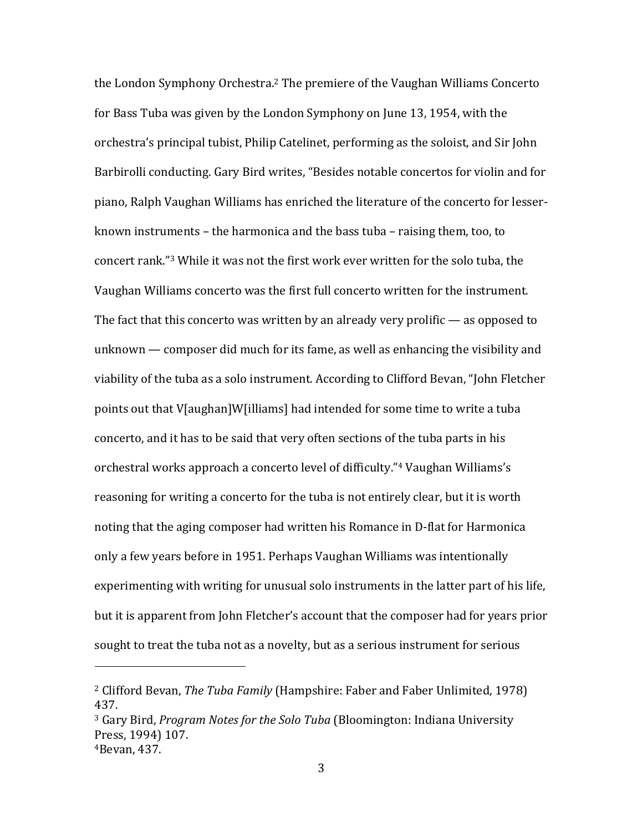the London Symphony Orchestra.<sup>2</sup> The premiere of the Vaughan Williams Concerto for Bass Tuba was given by the London Symphony on June 13, 1954, with the orchestra's principal tubist, Philip Catelinet, performing as the soloist, and Sir John Barbirolli conducting. Gary Bird writes, "Besides notable concertos for violin and for piano, Ralph Vaughan Williams has enriched the literature of the concerto for lesserknown instruments  $-$  the harmonica and the bass tuba  $-$  raising them, too, to concert rank."<sup>3</sup> While it was not the first work ever written for the solo tuba, the Vaughan Williams concerto was the first full concerto written for the instrument. The fact that this concerto was written by an already very prolific  $-$  as opposed to unknown — composer did much for its fame, as well as enhancing the visibility and viability of the tuba as a solo instrument. According to Clifford Bevan, "John Fletcher points out that V[aughan]W[illiams] had intended for some time to write a tuba concerto, and it has to be said that very often sections of the tuba parts in his orchestral works approach a concerto level of difficulty."<sup>4</sup> Vaughan Williams's reasoning for writing a concerto for the tuba is not entirely clear, but it is worth noting that the aging composer had written his Romance in D-flat for Harmonica only a few years before in 1951. Perhaps Vaughan Williams was intentionally experimenting with writing for unusual solo instruments in the latter part of his life, but it is apparent from John Fletcher's account that the composer had for years prior sought to treat the tuba not as a novelty, but as a serious instrument for serious

<sup>&</sup>lt;sup>2</sup> Clifford Bevan, *The Tuba Family* (Hampshire: Faber and Faber Unlimited, 1978) 437. 

<sup>&</sup>lt;sup>3</sup> Gary Bird, *Program Notes for the Solo Tuba* (Bloomington: Indiana University Press, 1994) 107.  $4B$ evan, 437.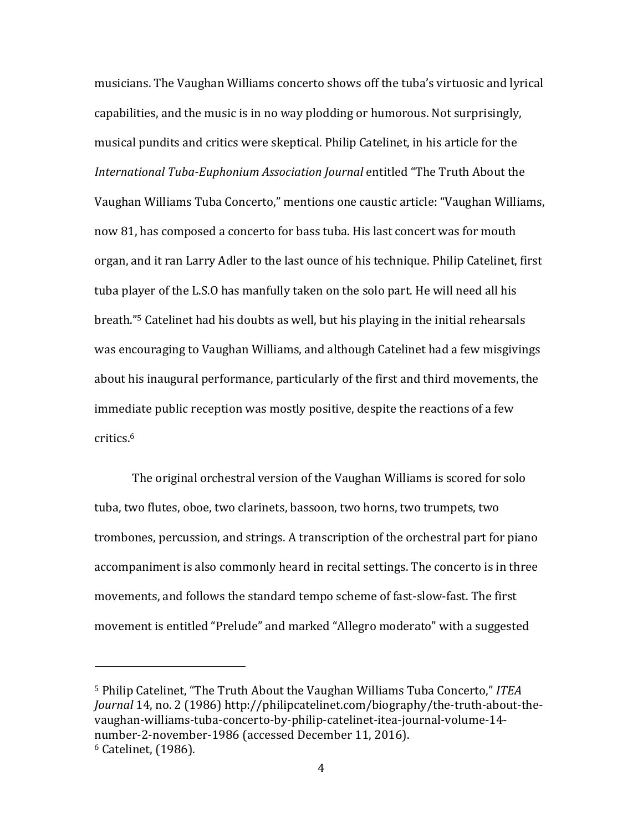musicians. The Vaughan Williams concerto shows off the tuba's virtuosic and lyrical capabilities, and the music is in no way plodding or humorous. Not surprisingly, musical pundits and critics were skeptical. Philip Catelinet, in his article for the *International Tuba-Euphonium Association Journal* entitled "The Truth About the Vaughan Williams Tuba Concerto," mentions one caustic article: "Vaughan Williams, now 81, has composed a concerto for bass tuba. His last concert was for mouth organ, and it ran Larry Adler to the last ounce of his technique. Philip Catelinet, first tuba player of the L.S.O has manfully taken on the solo part. He will need all his breath."<sup>5</sup> Catelinet had his doubts as well, but his playing in the initial rehearsals was encouraging to Vaughan Williams, and although Catelinet had a few misgivings about his inaugural performance, particularly of the first and third movements, the immediate public reception was mostly positive, despite the reactions of a few critics.6

The original orchestral version of the Vaughan Williams is scored for solo tuba, two flutes, oboe, two clarinets, bassoon, two horns, two trumpets, two trombones, percussion, and strings. A transcription of the orchestral part for piano accompaniment is also commonly heard in recital settings. The concerto is in three movements, and follows the standard tempo scheme of fast-slow-fast. The first movement is entitled "Prelude" and marked "Allegro moderato" with a suggested

<sup>&</sup>lt;sup>5</sup> Philip Catelinet, "The Truth About the Vaughan Williams Tuba Concerto," ITEA *Journal* 14, no. 2 (1986) http://philipcatelinet.com/biography/the-truth-about-thevaughan-williams-tuba-concerto-by-philip-catelinet-itea-journal-volume-14 number-2-november-1986 (accessed December 11, 2016).  $6$  Catelinet,  $(1986)$ .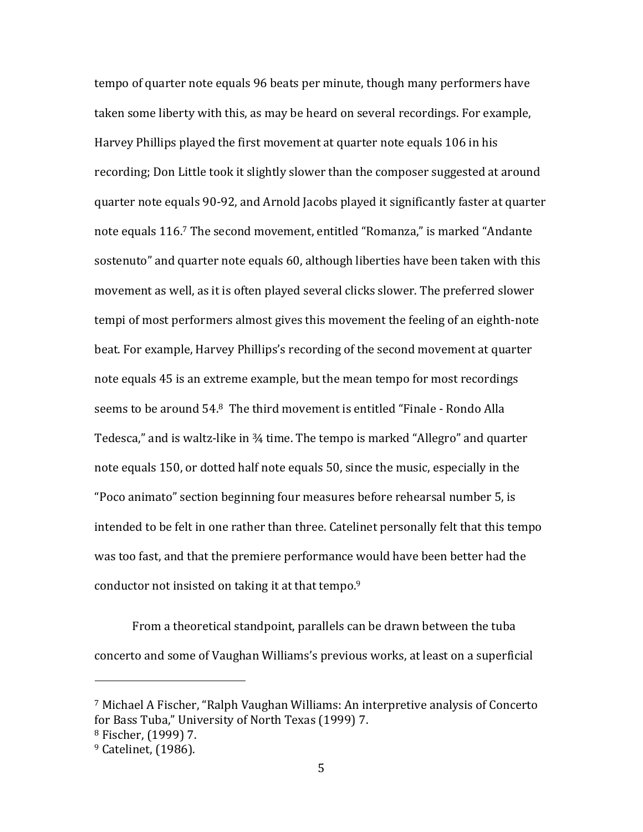tempo of quarter note equals 96 beats per minute, though many performers have taken some liberty with this, as may be heard on several recordings. For example, Harvey Phillips played the first movement at quarter note equals 106 in his recording; Don Little took it slightly slower than the composer suggested at around quarter note equals 90-92, and Arnold Jacobs played it significantly faster at quarter note equals 116.<sup>7</sup> The second movement, entitled "Romanza," is marked "Andante sostenuto" and quarter note equals 60, although liberties have been taken with this movement as well, as it is often played several clicks slower. The preferred slower tempi of most performers almost gives this movement the feeling of an eighth-note beat. For example, Harvey Phillips's recording of the second movement at quarter note equals 45 is an extreme example, but the mean tempo for most recordings seems to be around  $54.8$  The third movement is entitled "Finale - Rondo Alla Tedesca," and is waltz-like in  $\frac{3}{4}$  time. The tempo is marked "Allegro" and quarter note equals 150, or dotted half note equals 50, since the music, especially in the "Poco animato" section beginning four measures before rehearsal number 5, is intended to be felt in one rather than three. Catelinet personally felt that this tempo was too fast, and that the premiere performance would have been better had the conductor not insisted on taking it at that tempo.<sup>9</sup>

From a theoretical standpoint, parallels can be drawn between the tuba concerto and some of Vaughan Williams's previous works, at least on a superficial

<sup>&</sup>lt;sup>7</sup> Michael A Fischer, "Ralph Vaughan Williams: An interpretive analysis of Concerto for Bass Tuba," University of North Texas (1999) 7.

<sup>&</sup>lt;sup>8</sup> Fischer, (1999) 7.

 $9$  Catelinet,  $(1986)$ .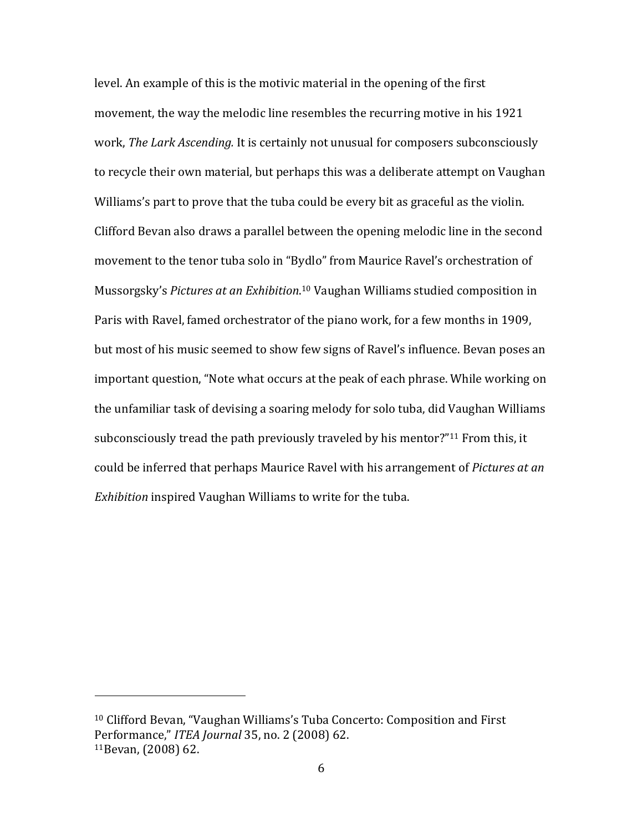level. An example of this is the motivic material in the opening of the first movement, the way the melodic line resembles the recurring motive in his 1921 work, *The Lark Ascending*. It is certainly not unusual for composers subconsciously to recycle their own material, but perhaps this was a deliberate attempt on Vaughan Williams's part to prove that the tuba could be every bit as graceful as the violin. Clifford Bevan also draws a parallel between the opening melodic line in the second movement to the tenor tuba solo in "Bydlo" from Maurice Ravel's orchestration of Mussorgsky's Pictures at an Exhibition.<sup>10</sup> Vaughan Williams studied composition in Paris with Ravel, famed orchestrator of the piano work, for a few months in 1909, but most of his music seemed to show few signs of Ravel's influence. Bevan poses an important question, "Note what occurs at the peak of each phrase. While working on the unfamiliar task of devising a soaring melody for solo tuba, did Vaughan Williams subconsciously tread the path previously traveled by his mentor?"<sup>11</sup> From this, it could be inferred that perhaps Maurice Ravel with his arrangement of *Pictures at an Exhibition* inspired Vaughan Williams to write for the tuba.

 $10$  Clifford Bevan, "Vaughan Williams's Tuba Concerto: Composition and First Performance," *ITEA Journal* 35, no. 2 (2008) 62.  $11$ Bevan,  $(2008)$  62.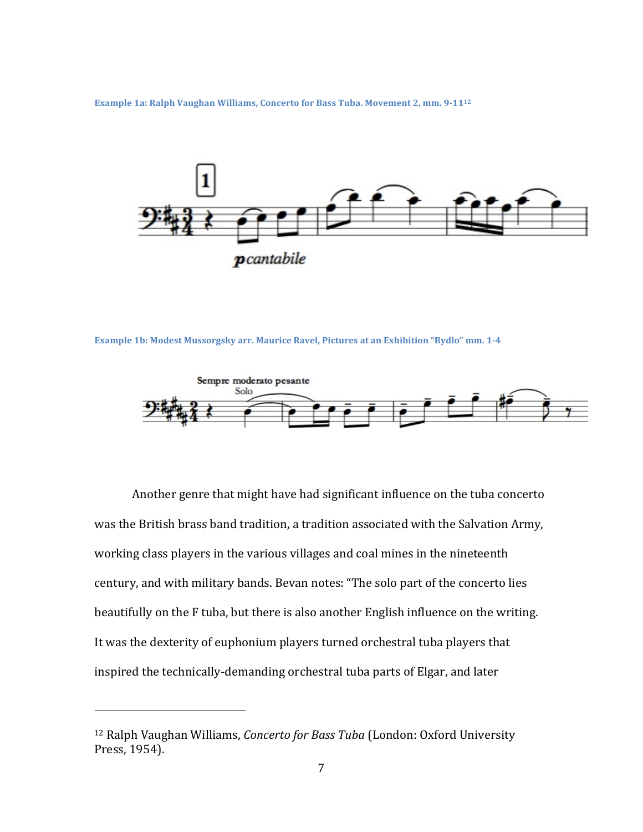**Example 1a: Ralph Vaughan Williams, Concerto for Bass Tuba. Movement 2, mm. 9-1112** 



**Example 1b: Modest Mussorgsky arr. Maurice Ravel, Pictures at an Exhibition "Bydlo" mm. 1-4** 



Another genre that might have had significant influence on the tuba concerto was the British brass band tradition, a tradition associated with the Salvation Army, working class players in the various villages and coal mines in the nineteenth century, and with military bands. Bevan notes: "The solo part of the concerto lies beautifully on the F tuba, but there is also another English influence on the writing. It was the dexterity of euphonium players turned orchestral tuba players that inspired the technically-demanding orchestral tuba parts of Elgar, and later

<sup>&</sup>lt;sup>12</sup> Ralph Vaughan Williams, *Concerto for Bass Tuba* (London: Oxford University Press, 1954).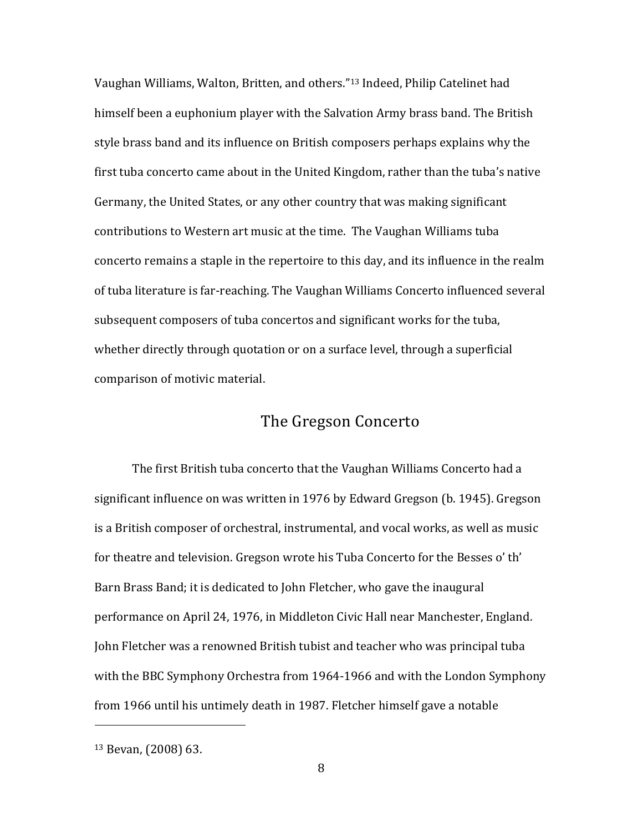Vaughan Williams, Walton, Britten, and others."<sup>13</sup> Indeed, Philip Catelinet had himself been a euphonium player with the Salvation Army brass band. The British style brass band and its influence on British composers perhaps explains why the first tuba concerto came about in the United Kingdom, rather than the tuba's native Germany, the United States, or any other country that was making significant contributions to Western art music at the time. The Vaughan Williams tuba concerto remains a staple in the repertoire to this day, and its influence in the realm of tuba literature is far-reaching. The Vaughan Williams Concerto influenced several subsequent composers of tuba concertos and significant works for the tuba, whether directly through quotation or on a surface level, through a superficial comparison of motivic material.

#### The Gregson Concerto

The first British tuba concerto that the Vaughan Williams Concerto had a significant influence on was written in 1976 by Edward Gregson  $(b. 1945)$ . Gregson is a British composer of orchestral, instrumental, and vocal works, as well as music for theatre and television. Gregson wrote his Tuba Concerto for the Besses o' th' Barn Brass Band; it is dedicated to John Fletcher, who gave the inaugural performance on April 24, 1976, in Middleton Civic Hall near Manchester, England. John Fletcher was a renowned British tubist and teacher who was principal tuba with the BBC Symphony Orchestra from 1964-1966 and with the London Symphony from 1966 until his untimely death in 1987. Fletcher himself gave a notable

 $13$  Bevan,  $(2008)$  63.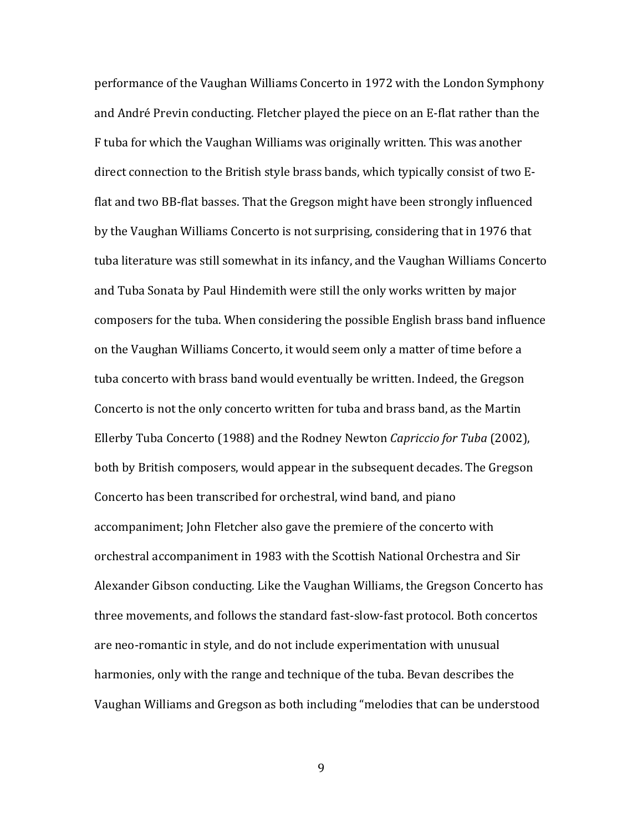performance of the Vaughan Williams Concerto in 1972 with the London Symphony and André Previn conducting. Fletcher played the piece on an E-flat rather than the F tuba for which the Vaughan Williams was originally written. This was another direct connection to the British style brass bands, which typically consist of two Eflat and two BB-flat basses. That the Gregson might have been strongly influenced by the Vaughan Williams Concerto is not surprising, considering that in 1976 that tuba literature was still somewhat in its infancy, and the Vaughan Williams Concerto and Tuba Sonata by Paul Hindemith were still the only works written by major composers for the tuba. When considering the possible English brass band influence on the Vaughan Williams Concerto, it would seem only a matter of time before a tuba concerto with brass band would eventually be written. Indeed, the Gregson Concerto is not the only concerto written for tuba and brass band, as the Martin Ellerby Tuba Concerto (1988) and the Rodney Newton *Capriccio for Tuba* (2002), both by British composers, would appear in the subsequent decades. The Gregson Concerto has been transcribed for orchestral, wind band, and piano accompaniment; John Fletcher also gave the premiere of the concerto with orchestral accompaniment in 1983 with the Scottish National Orchestra and Sir Alexander Gibson conducting. Like the Vaughan Williams, the Gregson Concerto has three movements, and follows the standard fast-slow-fast protocol. Both concertos are neo-romantic in style, and do not include experimentation with unusual harmonies, only with the range and technique of the tuba. Bevan describes the Vaughan Williams and Gregson as both including "melodies that can be understood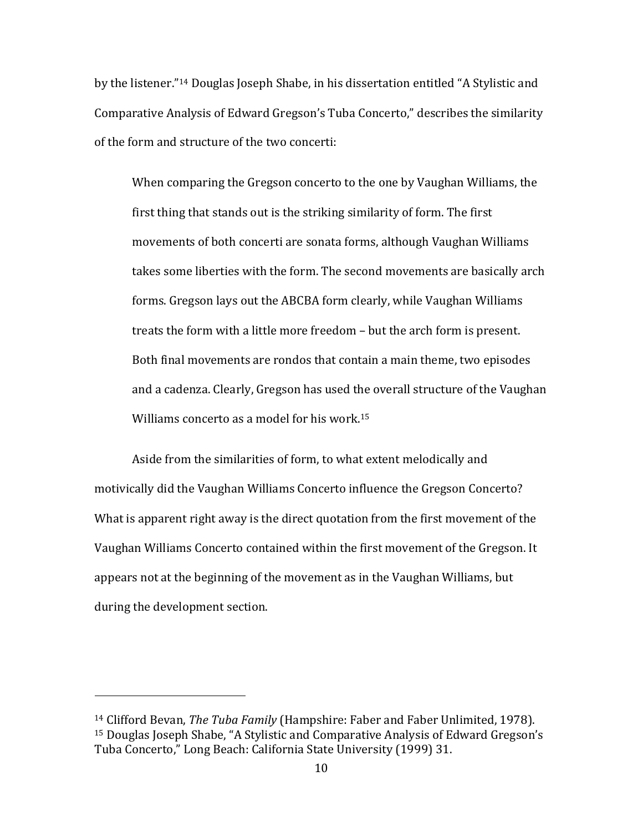by the listener."<sup>14</sup> Douglas Joseph Shabe, in his dissertation entitled "A Stylistic and Comparative Analysis of Edward Gregson's Tuba Concerto," describes the similarity of the form and structure of the two concerti:

When comparing the Gregson concerto to the one by Vaughan Williams, the first thing that stands out is the striking similarity of form. The first movements of both concerti are sonata forms, although Vaughan Williams takes some liberties with the form. The second movements are basically arch forms. Gregson lays out the ABCBA form clearly, while Vaughan Williams treats the form with a little more freedom – but the arch form is present. Both final movements are rondos that contain a main theme, two episodes and a cadenza. Clearly, Gregson has used the overall structure of the Vaughan Williams concerto as a model for his work.<sup>15</sup>

Aside from the similarities of form, to what extent melodically and motivically did the Vaughan Williams Concerto influence the Gregson Concerto? What is apparent right away is the direct quotation from the first movement of the Vaughan Williams Concerto contained within the first movement of the Gregson. It appears not at the beginning of the movement as in the Vaughan Williams, but during the development section.

<sup>&</sup>lt;sup>14</sup> Clifford Bevan, *The Tuba Family* (Hampshire: Faber and Faber Unlimited, 1978). <sup>15</sup> Douglas Joseph Shabe, "A Stylistic and Comparative Analysis of Edward Gregson's Tuba Concerto," Long Beach: California State University (1999) 31.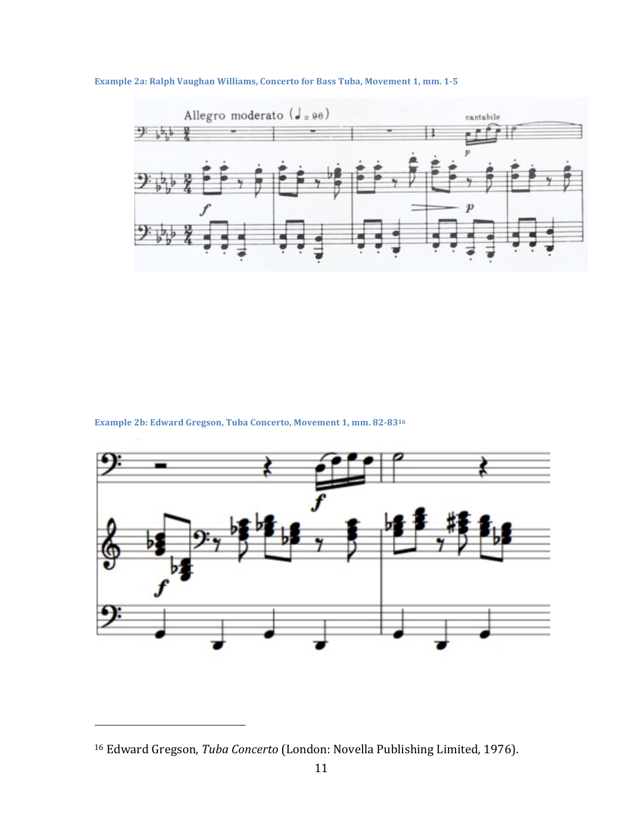

#### **Example 2a: Ralph Vaughan Williams, Concerto for Bass Tuba, Movement 1, mm. 1-5**

**Example 2b: Edward Gregson, Tuba Concerto, Movement 1, mm. 82-8316** 



<sup>&</sup>lt;sup>16</sup> Edward Gregson, *Tuba Concerto* (London: Novella Publishing Limited, 1976).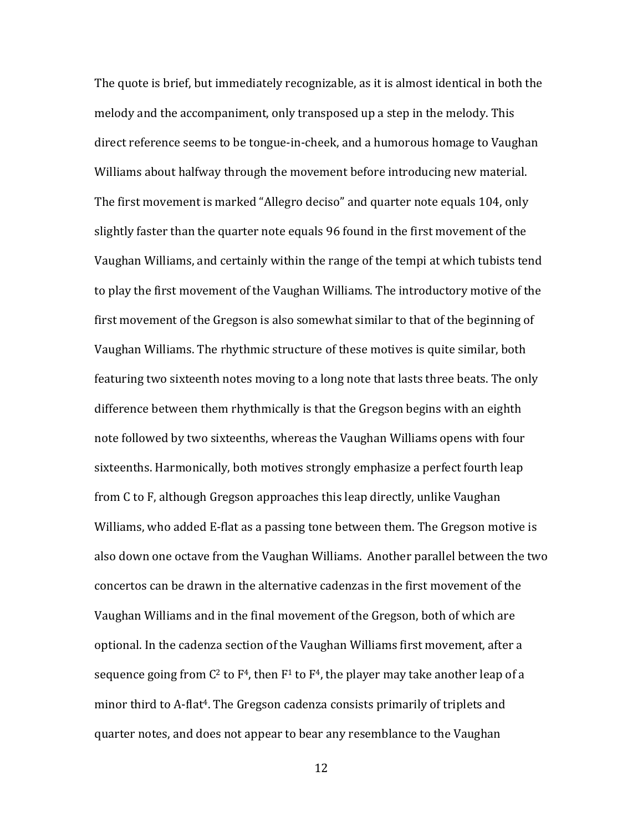The quote is brief, but immediately recognizable, as it is almost identical in both the melody and the accompaniment, only transposed up a step in the melody. This direct reference seems to be tongue-in-cheek, and a humorous homage to Vaughan Williams about halfway through the movement before introducing new material. The first movement is marked "Allegro deciso" and quarter note equals 104, only slightly faster than the quarter note equals 96 found in the first movement of the Vaughan Williams, and certainly within the range of the tempi at which tubists tend to play the first movement of the Vaughan Williams. The introductory motive of the first movement of the Gregson is also somewhat similar to that of the beginning of Vaughan Williams. The rhythmic structure of these motives is quite similar, both featuring two sixteenth notes moving to a long note that lasts three beats. The only difference between them rhythmically is that the Gregson begins with an eighth note followed by two sixteenths, whereas the Vaughan Williams opens with four sixteenths. Harmonically, both motives strongly emphasize a perfect fourth leap from C to F, although Gregson approaches this leap directly, unlike Vaughan Williams, who added E-flat as a passing tone between them. The Gregson motive is also down one octave from the Vaughan Williams. Another parallel between the two concertos can be drawn in the alternative cadenzas in the first movement of the Vaughan Williams and in the final movement of the Gregson, both of which are optional. In the cadenza section of the Vaughan Williams first movement, after a sequence going from  $C^2$  to  $F^4$ , then  $F^1$  to  $F^4$ , the player may take another leap of a minor third to A-flat<sup>4</sup>. The Gregson cadenza consists primarily of triplets and quarter notes, and does not appear to bear any resemblance to the Vaughan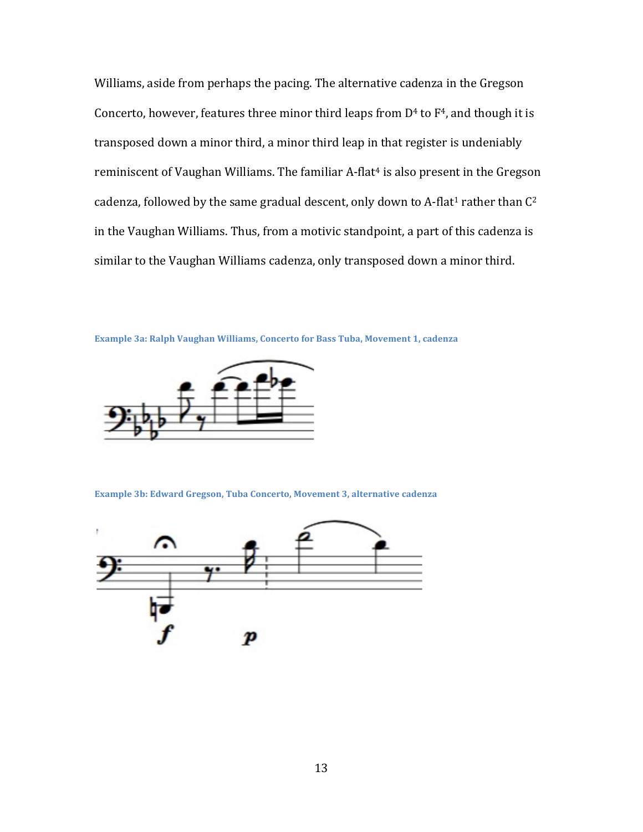Williams, aside from perhaps the pacing. The alternative cadenza in the Gregson Concerto, however, features three minor third leaps from  $D<sup>4</sup>$  to  $F<sup>4</sup>$ , and though it is transposed down a minor third, a minor third leap in that register is undeniably reminiscent of Vaughan Williams. The familiar A-flat<sup>4</sup> is also present in the Gregson cadenza, followed by the same gradual descent, only down to A-flat<sup>1</sup> rather than  $C^2$ in the Vaughan Williams. Thus, from a motivic standpoint, a part of this cadenza is similar to the Vaughan Williams cadenza, only transposed down a minor third.

**Example 3a: Ralph Vaughan Williams, Concerto for Bass Tuba, Movement 1, cadenza** 



**Example 3b: Edward Gregson, Tuba Concerto, Movement 3, alternative cadenza** 

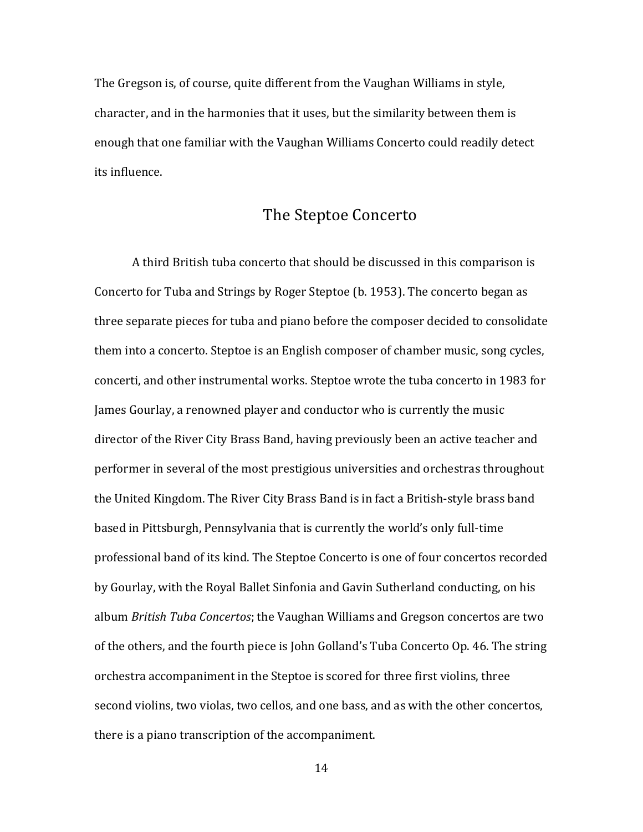The Gregson is, of course, quite different from the Vaughan Williams in style, character, and in the harmonies that it uses, but the similarity between them is enough that one familiar with the Vaughan Williams Concerto could readily detect its influence.

#### The Steptoe Concerto

A third British tuba concerto that should be discussed in this comparison is Concerto for Tuba and Strings by Roger Steptoe (b. 1953). The concerto began as three separate pieces for tuba and piano before the composer decided to consolidate them into a concerto. Steptoe is an English composer of chamber music, song cycles, concerti, and other instrumental works. Steptoe wrote the tuba concerto in 1983 for James Gourlay, a renowned player and conductor who is currently the music director of the River City Brass Band, having previously been an active teacher and performer in several of the most prestigious universities and orchestras throughout the United Kingdom. The River City Brass Band is in fact a British-style brass band based in Pittsburgh, Pennsylvania that is currently the world's only full-time professional band of its kind. The Steptoe Concerto is one of four concertos recorded by Gourlay, with the Royal Ballet Sinfonia and Gavin Sutherland conducting, on his album *British Tuba Concertos*; the Vaughan Williams and Gregson concertos are two of the others, and the fourth piece is John Golland's Tuba Concerto Op. 46. The string orchestra accompaniment in the Steptoe is scored for three first violins, three second violins, two violas, two cellos, and one bass, and as with the other concertos, there is a piano transcription of the accompaniment.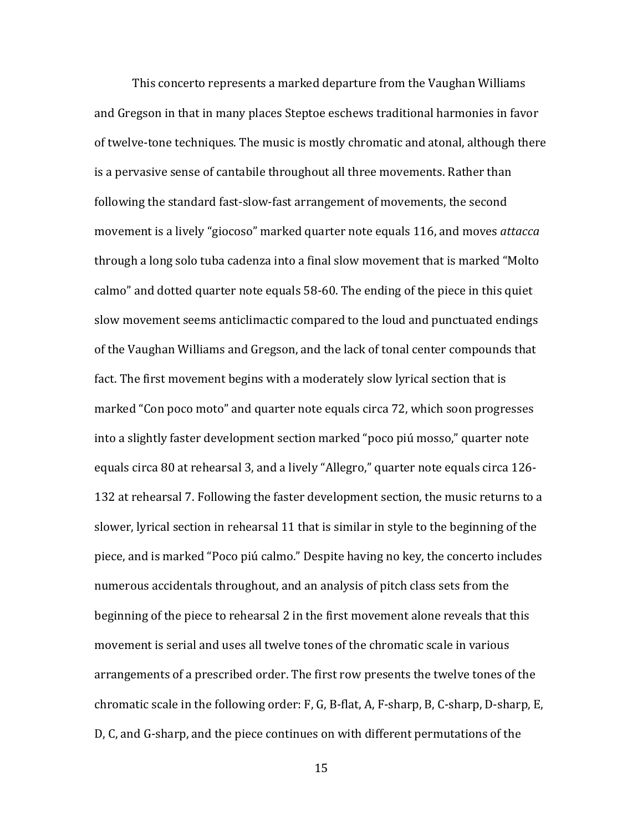This concerto represents a marked departure from the Vaughan Williams and Gregson in that in many places Steptoe eschews traditional harmonies in favor of twelve-tone techniques. The music is mostly chromatic and atonal, although there is a pervasive sense of cantabile throughout all three movements. Rather than following the standard fast-slow-fast arrangement of movements, the second movement is a lively "giocoso" marked quarter note equals 116, and moves *attacca* through a long solo tuba cadenza into a final slow movement that is marked "Molto" calmo" and dotted quarter note equals 58-60. The ending of the piece in this quiet slow movement seems anticlimactic compared to the loud and punctuated endings of the Vaughan Williams and Gregson, and the lack of tonal center compounds that fact. The first movement begins with a moderately slow lyrical section that is marked "Con poco moto" and quarter note equals circa 72, which soon progresses into a slightly faster development section marked "poco piú mosso," quarter note equals circa 80 at rehearsal 3, and a lively "Allegro," quarter note equals circa 126-132 at rehearsal 7. Following the faster development section, the music returns to a slower, lyrical section in rehearsal 11 that is similar in style to the beginning of the piece, and is marked "Poco piú calmo." Despite having no key, the concerto includes numerous accidentals throughout, and an analysis of pitch class sets from the beginning of the piece to rehearsal 2 in the first movement alone reveals that this movement is serial and uses all twelve tones of the chromatic scale in various arrangements of a prescribed order. The first row presents the twelve tones of the chromatic scale in the following order:  $F$ ,  $G$ ,  $B$ -flat,  $A$ ,  $F$ -sharp,  $B$ ,  $C$ -sharp,  $D$ -sharp,  $E$ , D, C, and G-sharp, and the piece continues on with different permutations of the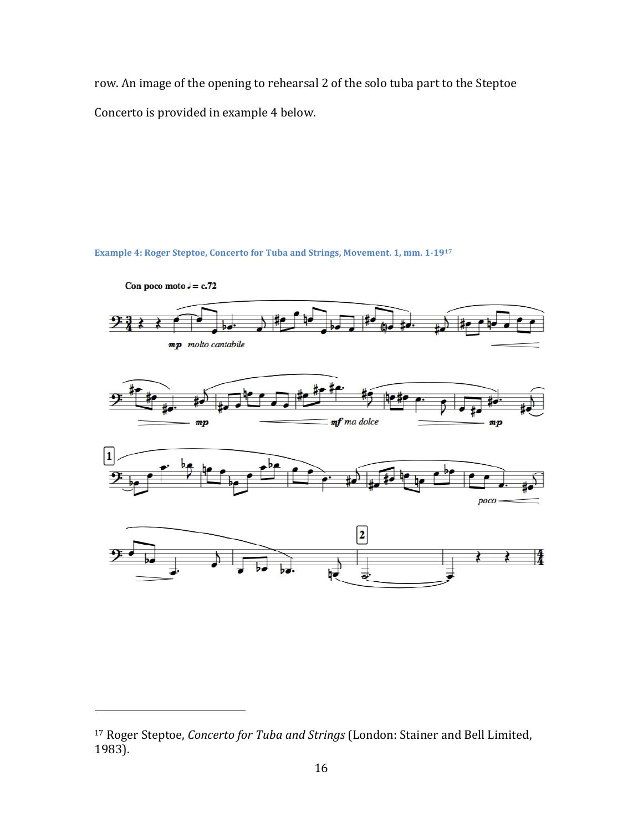row. An image of the opening to rehearsal 2 of the solo tuba part to the Steptoe Concerto is provided in example 4 below.

**Example 4: Roger Steptoe, Concerto for Tuba and Strings, Movement. 1, mm. 1-1917** 



<sup>&</sup>lt;sup>17</sup> Roger Steptoe, *Concerto for Tuba and Strings* (London: Stainer and Bell Limited, 1983).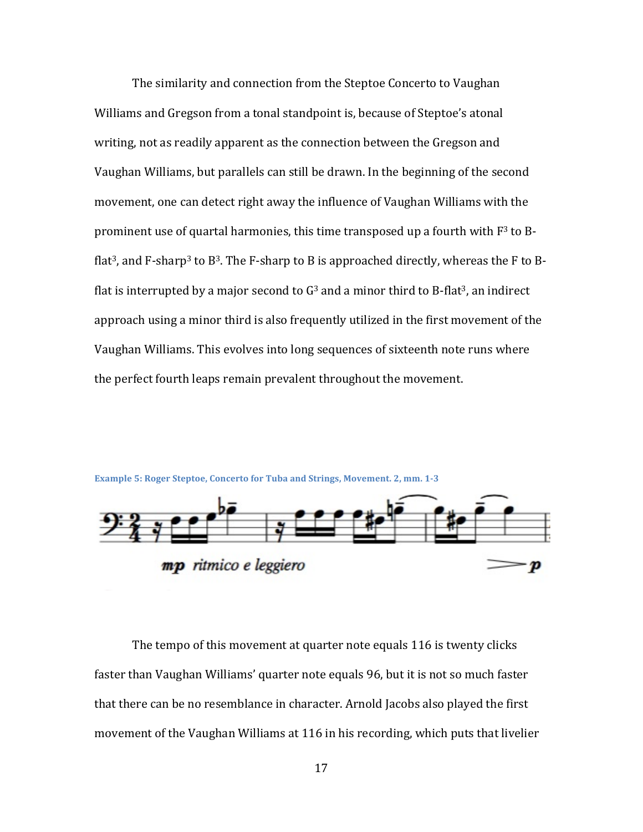The similarity and connection from the Steptoe Concerto to Vaughan Williams and Gregson from a tonal standpoint is, because of Steptoe's atonal writing, not as readily apparent as the connection between the Gregson and Vaughan Williams, but parallels can still be drawn. In the beginning of the second movement, one can detect right away the influence of Vaughan Williams with the prominent use of quartal harmonies, this time transposed up a fourth with  $F<sup>3</sup>$  to Bflat<sup>3</sup>, and F-sharp<sup>3</sup> to B<sup>3</sup>. The F-sharp to B is approached directly, whereas the F to Bflat is interrupted by a major second to  $G<sup>3</sup>$  and a minor third to B-flat<sup>3</sup>, an indirect approach using a minor third is also frequently utilized in the first movement of the Vaughan Williams. This evolves into long sequences of sixteenth note runs where the perfect fourth leaps remain prevalent throughout the movement.





The tempo of this movement at quarter note equals 116 is twenty clicks faster than Vaughan Williams' quarter note equals 96, but it is not so much faster that there can be no resemblance in character. Arnold Jacobs also played the first movement of the Vaughan Williams at 116 in his recording, which puts that livelier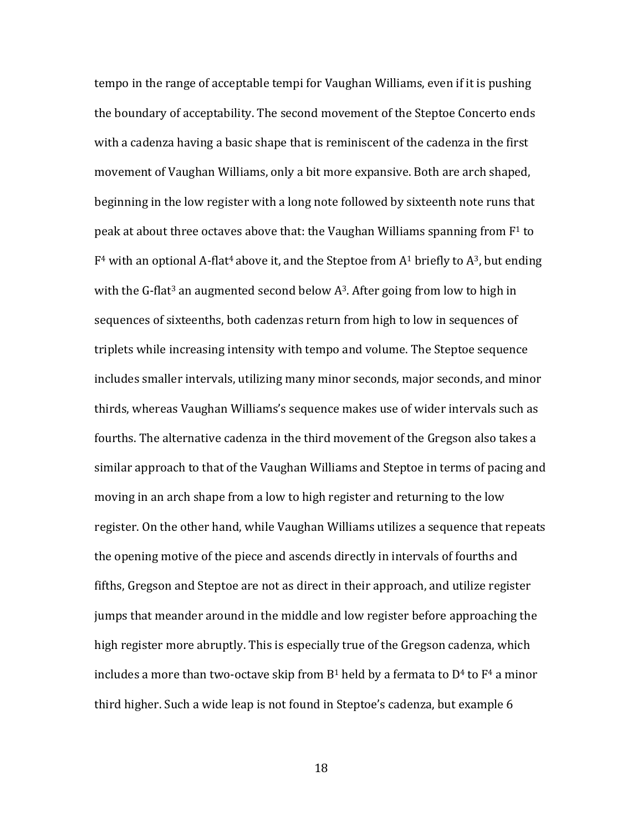tempo in the range of acceptable tempi for Vaughan Williams, even if it is pushing the boundary of acceptability. The second movement of the Steptoe Concerto ends with a cadenza having a basic shape that is reminiscent of the cadenza in the first movement of Vaughan Williams, only a bit more expansive. Both are arch shaped, beginning in the low register with a long note followed by sixteenth note runs that peak at about three octaves above that: the Vaughan Williams spanning from  $F^1$  to  $F<sup>4</sup>$  with an optional A-flat<sup>4</sup> above it, and the Steptoe from A<sup>1</sup> briefly to A<sup>3</sup>, but ending with the G-flat<sup>3</sup> an augmented second below  $A<sup>3</sup>$ . After going from low to high in sequences of sixteenths, both cadenzas return from high to low in sequences of triplets while increasing intensity with tempo and volume. The Steptoe sequence includes smaller intervals, utilizing many minor seconds, major seconds, and minor thirds, whereas Vaughan Williams's sequence makes use of wider intervals such as fourths. The alternative cadenza in the third movement of the Gregson also takes a similar approach to that of the Vaughan Williams and Steptoe in terms of pacing and moving in an arch shape from a low to high register and returning to the low register. On the other hand, while Vaughan Williams utilizes a sequence that repeats the opening motive of the piece and ascends directly in intervals of fourths and fifths, Gregson and Steptoe are not as direct in their approach, and utilize register jumps that meander around in the middle and low register before approaching the high register more abruptly. This is especially true of the Gregson cadenza, which includes a more than two-octave skip from  $B<sup>1</sup>$  held by a fermata to  $D<sup>4</sup>$  to  $F<sup>4</sup>$  a minor third higher. Such a wide leap is not found in Steptoe's cadenza, but example 6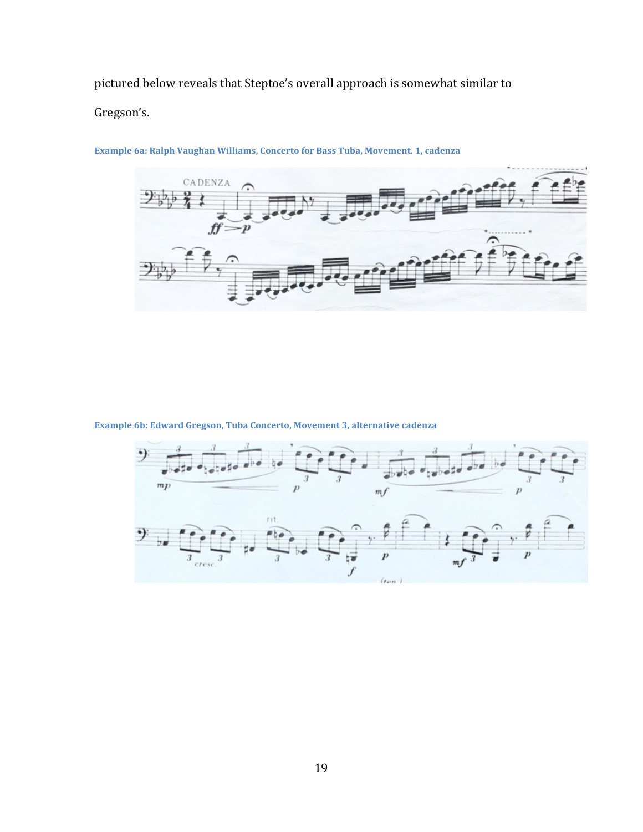pictured below reveals that Steptoe's overall approach is somewhat similar to

Gregson's. 



**Example 6a: Ralph Vaughan Williams, Concerto for Bass Tuba, Movement. 1, cadenza** 

**Example 6b: Edward Gregson, Tuba Concerto, Movement 3, alternative cadenza** 

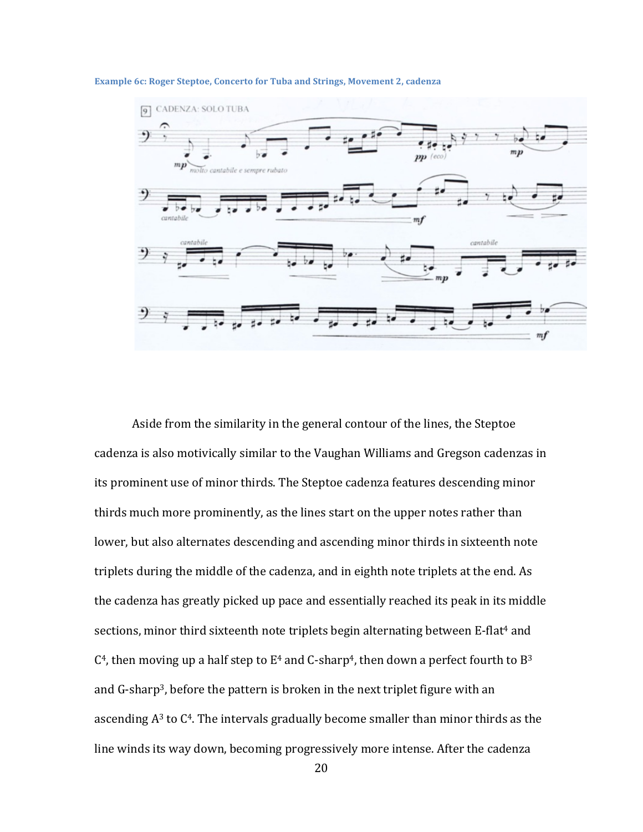#### **Example 6c: Roger Steptoe, Concerto for Tuba and Strings, Movement 2, cadenza**



Aside from the similarity in the general contour of the lines, the Steptoe cadenza is also motivically similar to the Vaughan Williams and Gregson cadenzas in its prominent use of minor thirds. The Steptoe cadenza features descending minor thirds much more prominently, as the lines start on the upper notes rather than lower, but also alternates descending and ascending minor thirds in sixteenth note triplets during the middle of the cadenza, and in eighth note triplets at the end. As the cadenza has greatly picked up pace and essentially reached its peak in its middle sections, minor third sixteenth note triplets begin alternating between E-flat<sup>4</sup> and  $C<sup>4</sup>$ , then moving up a half step to  $E<sup>4</sup>$  and C-sharp<sup>4</sup>, then down a perfect fourth to B<sup>3</sup> and  $G$ -sharp<sup>3</sup>, before the pattern is broken in the next triplet figure with an ascending  $A<sup>3</sup>$  to  $C<sup>4</sup>$ . The intervals gradually become smaller than minor thirds as the line winds its way down, becoming progressively more intense. After the cadenza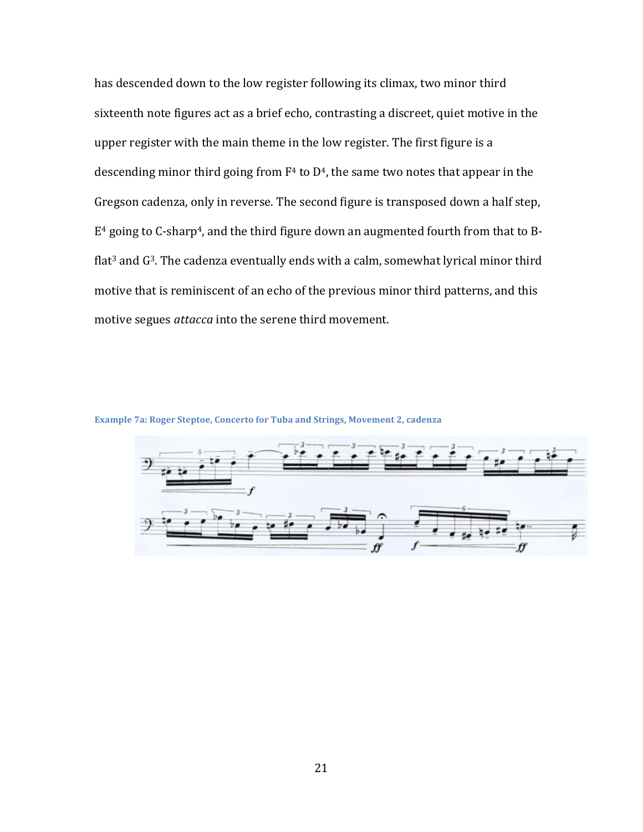has descended down to the low register following its climax, two minor third sixteenth note figures act as a brief echo, contrasting a discreet, quiet motive in the upper register with the main theme in the low register. The first figure is a descending minor third going from  $F<sup>4</sup>$  to  $D<sup>4</sup>$ , the same two notes that appear in the Gregson cadenza, only in reverse. The second figure is transposed down a half step,  $E<sup>4</sup>$  going to C-sharp<sup>4</sup>, and the third figure down an augmented fourth from that to Bflat<sup>3</sup> and  $G<sup>3</sup>$ . The cadenza eventually ends with a calm, somewhat lyrical minor third motive that is reminiscent of an echo of the previous minor third patterns, and this motive segues *attacca* into the serene third movement.

**Example 7a: Roger Steptoe, Concerto for Tuba and Strings, Movement 2, cadenza** 

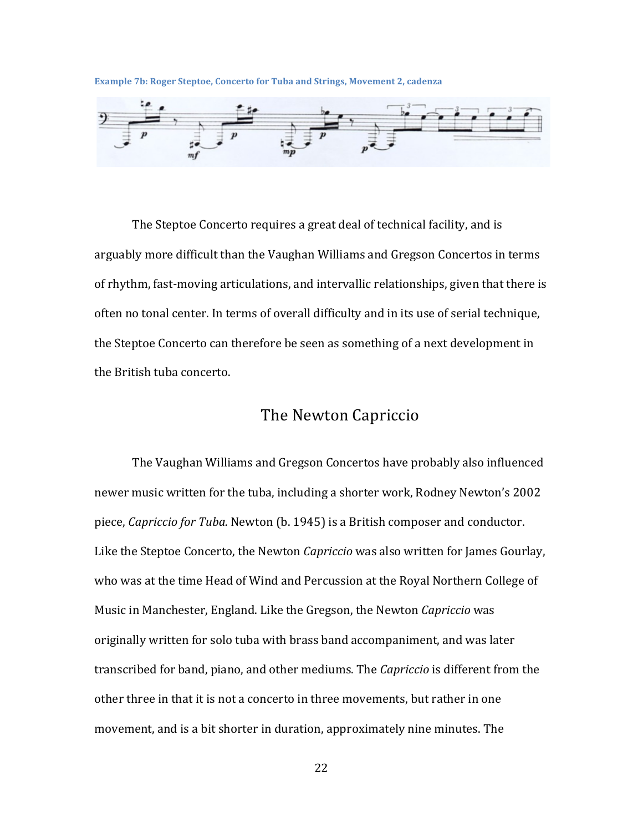**Example 7b: Roger Steptoe, Concerto for Tuba and Strings, Movement 2, cadenza** 



The Steptoe Concerto requires a great deal of technical facility, and is arguably more difficult than the Vaughan Williams and Gregson Concertos in terms of rhythm, fast-moving articulations, and intervallic relationships, given that there is often no tonal center. In terms of overall difficulty and in its use of serial technique, the Steptoe Concerto can therefore be seen as something of a next development in the British tuba concerto.

#### The Newton Capriccio

The Vaughan Williams and Gregson Concertos have probably also influenced newer music written for the tuba, including a shorter work, Rodney Newton's 2002 piece, *Capriccio for Tuba*. Newton (b. 1945) is a British composer and conductor. Like the Steptoe Concerto, the Newton *Capriccio* was also written for James Gourlay, who was at the time Head of Wind and Percussion at the Royal Northern College of Music in Manchester, England. Like the Gregson, the Newton *Capriccio* was originally written for solo tuba with brass band accompaniment, and was later transcribed for band, piano, and other mediums. The *Capriccio* is different from the other three in that it is not a concerto in three movements, but rather in one movement, and is a bit shorter in duration, approximately nine minutes. The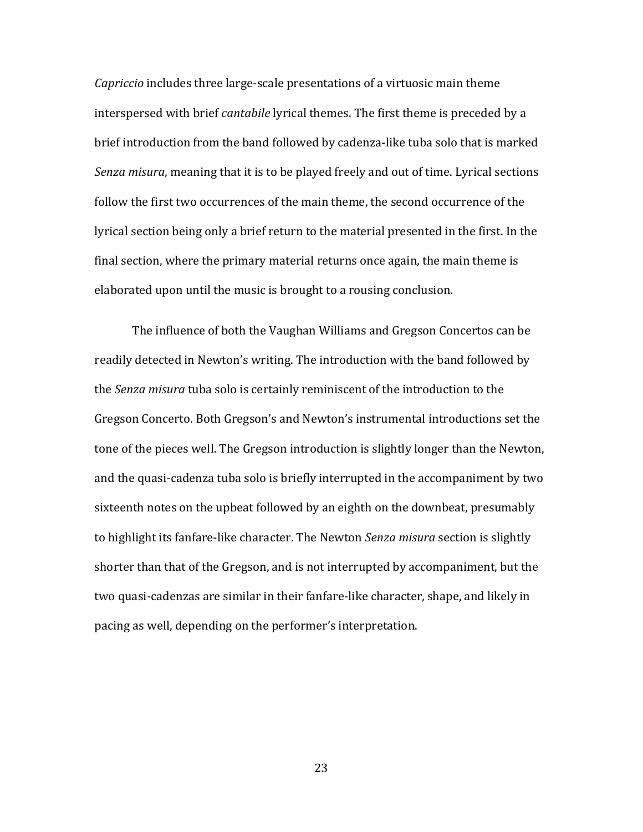*Capriccio* includes three large-scale presentations of a virtuosic main theme interspersed with brief *cantabile* lyrical themes. The first theme is preceded by a brief introduction from the band followed by cadenza-like tuba solo that is marked *Senza misura*, meaning that it is to be played freely and out of time. Lyrical sections follow the first two occurrences of the main theme, the second occurrence of the lyrical section being only a brief return to the material presented in the first. In the final section, where the primary material returns once again, the main theme is elaborated upon until the music is brought to a rousing conclusion.

The influence of both the Vaughan Williams and Gregson Concertos can be readily detected in Newton's writing. The introduction with the band followed by the *Senza misura* tuba solo is certainly reminiscent of the introduction to the Gregson Concerto. Both Gregson's and Newton's instrumental introductions set the tone of the pieces well. The Gregson introduction is slightly longer than the Newton, and the quasi-cadenza tuba solo is briefly interrupted in the accompaniment by two sixteenth notes on the upbeat followed by an eighth on the downbeat, presumably to highlight its fanfare-like character. The Newton *Senza misura* section is slightly shorter than that of the Gregson, and is not interrupted by accompaniment, but the two quasi-cadenzas are similar in their fanfare-like character, shape, and likely in pacing as well, depending on the performer's interpretation.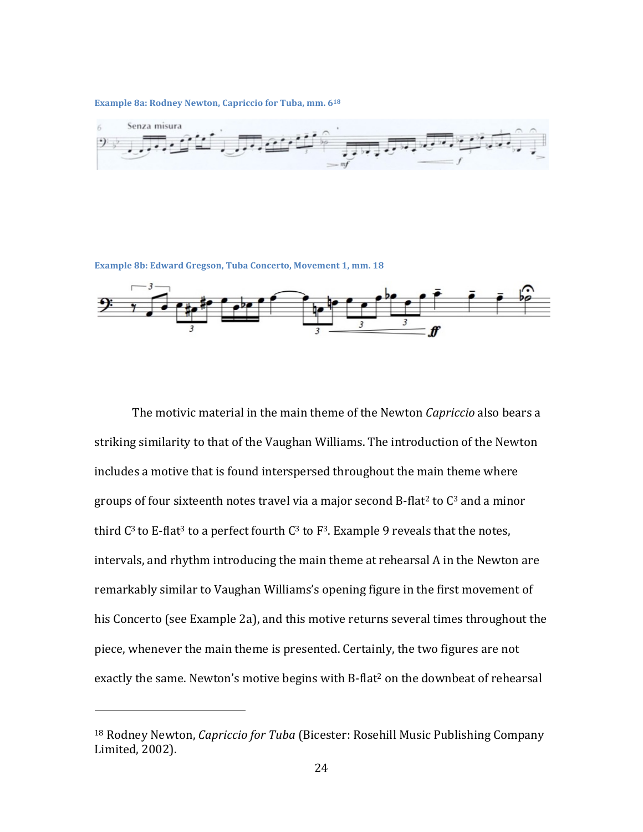**Example 8a: Rodney Newton, Capriccio for Tuba, mm. 618** 



**Example 8b: Edward Gregson, Tuba Concerto, Movement 1, mm. 18** 



The motivic material in the main theme of the Newton *Capriccio* also bears a striking similarity to that of the Vaughan Williams. The introduction of the Newton includes a motive that is found interspersed throughout the main theme where groups of four sixteenth notes travel via a major second B-flat<sup>2</sup> to  $C<sup>3</sup>$  and a minor third  $C^3$  to E-flat<sup>3</sup> to a perfect fourth  $C^3$  to  $F^3$ . Example 9 reveals that the notes, intervals, and rhythm introducing the main theme at rehearsal A in the Newton are remarkably similar to Vaughan Williams's opening figure in the first movement of his Concerto (see Example 2a), and this motive returns several times throughout the piece, whenever the main theme is presented. Certainly, the two figures are not exactly the same. Newton's motive begins with  $B$ -flat<sup>2</sup> on the downbeat of rehearsal

<sup>&</sup>lt;sup>18</sup> Rodney Newton, *Capriccio for Tuba* (Bicester: Rosehill Music Publishing Company Limited, 2002).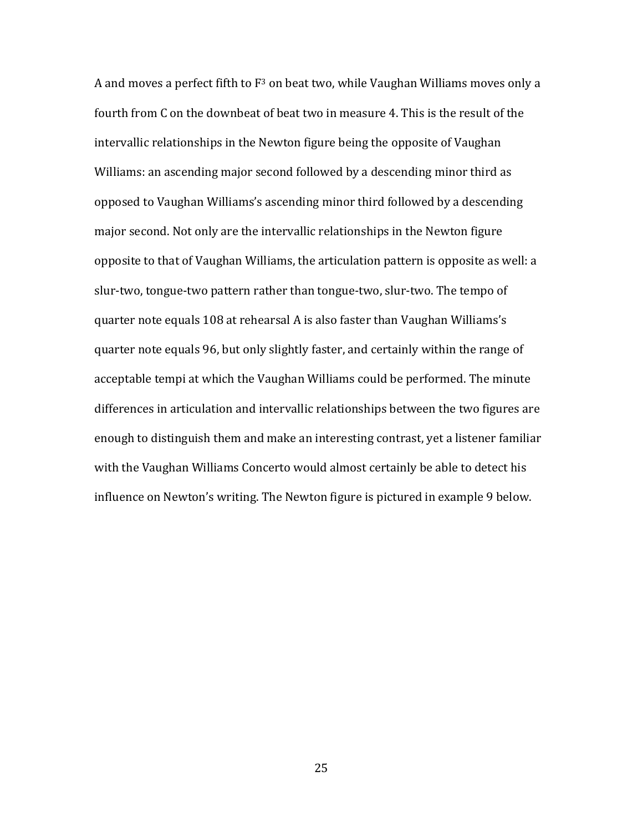A and moves a perfect fifth to  $F^3$  on beat two, while Vaughan Williams moves only a fourth from C on the downbeat of beat two in measure 4. This is the result of the intervallic relationships in the Newton figure being the opposite of Vaughan Williams: an ascending major second followed by a descending minor third as opposed to Vaughan Williams's ascending minor third followed by a descending major second. Not only are the intervallic relationships in the Newton figure opposite to that of Vaughan Williams, the articulation pattern is opposite as well: a slur-two, tongue-two pattern rather than tongue-two, slur-two. The tempo of quarter note equals 108 at rehearsal A is also faster than Vaughan Williams's quarter note equals 96, but only slightly faster, and certainly within the range of acceptable tempi at which the Vaughan Williams could be performed. The minute differences in articulation and intervallic relationships between the two figures are enough to distinguish them and make an interesting contrast, yet a listener familiar with the Vaughan Williams Concerto would almost certainly be able to detect his influence on Newton's writing. The Newton figure is pictured in example 9 below.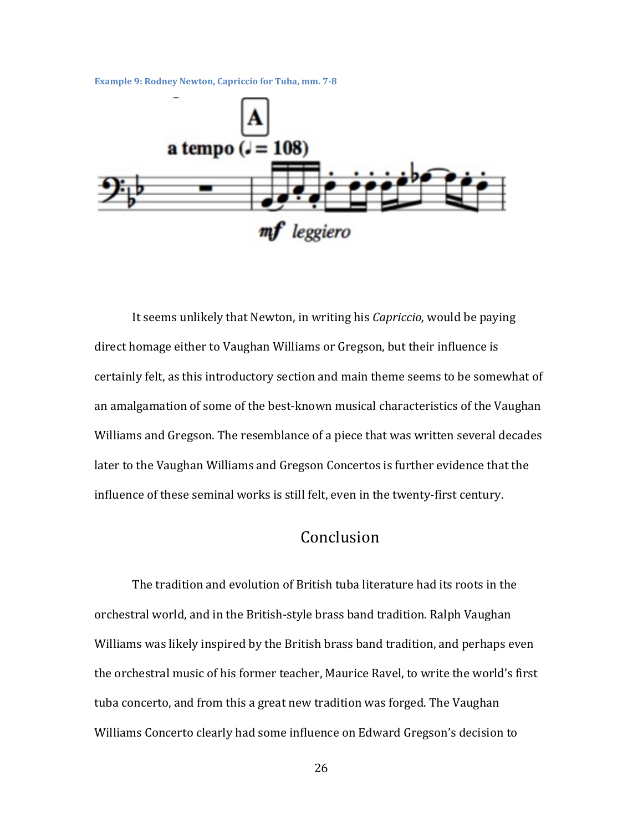**Example 9: Rodney Newton, Capriccio for Tuba, mm. 7-8** 



It seems unlikely that Newton, in writing his *Capriccio*, would be paying direct homage either to Vaughan Williams or Gregson, but their influence is certainly felt, as this introductory section and main theme seems to be somewhat of an amalgamation of some of the best-known musical characteristics of the Vaughan Williams and Gregson. The resemblance of a piece that was written several decades later to the Vaughan Williams and Gregson Concertos is further evidence that the influence of these seminal works is still felt, even in the twenty-first century.

### Conclusion

The tradition and evolution of British tuba literature had its roots in the orchestral world, and in the British-style brass band tradition. Ralph Vaughan Williams was likely inspired by the British brass band tradition, and perhaps even the orchestral music of his former teacher, Maurice Ravel, to write the world's first tuba concerto, and from this a great new tradition was forged. The Vaughan Williams Concerto clearly had some influence on Edward Gregson's decision to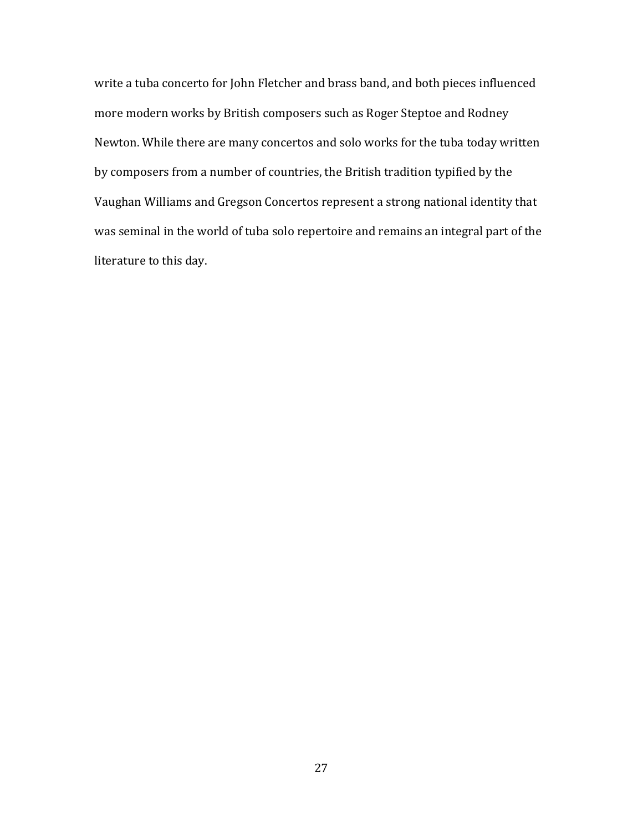write a tuba concerto for John Fletcher and brass band, and both pieces influenced more modern works by British composers such as Roger Steptoe and Rodney Newton. While there are many concertos and solo works for the tuba today written by composers from a number of countries, the British tradition typified by the Vaughan Williams and Gregson Concertos represent a strong national identity that was seminal in the world of tuba solo repertoire and remains an integral part of the literature to this day.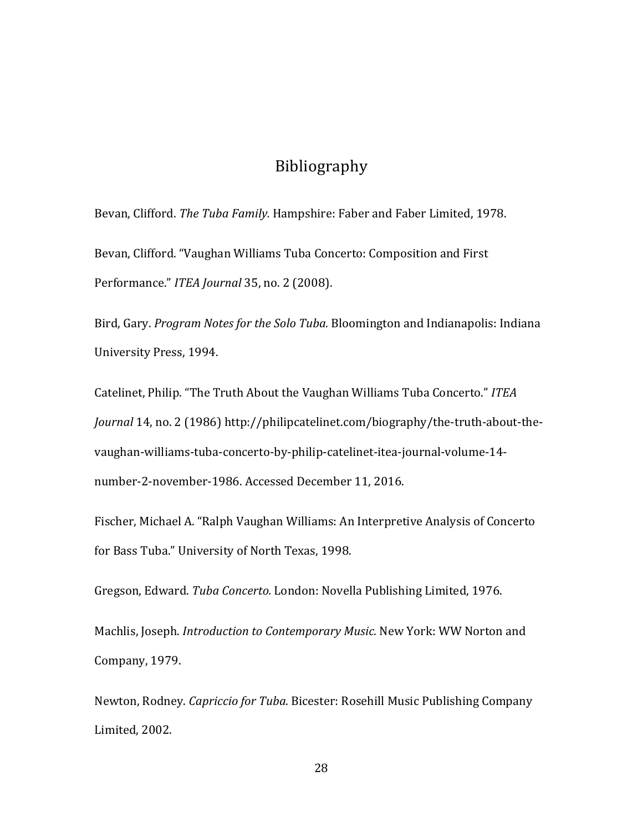### Bibliography

Bevan, Clifford. *The Tuba Family.* Hampshire: Faber and Faber Limited, 1978.

Bevan, Clifford. "Vaughan Williams Tuba Concerto: Composition and First Performance." ITEA Journal 35, no. 2 (2008).

Bird, Gary. *Program Notes for the Solo Tuba*. Bloomington and Indianapolis: Indiana University Press, 1994.

Catelinet, Philip. "The Truth About the Vaughan Williams Tuba Concerto." ITEA *Journal* 14, no. 2 (1986) http://philipcatelinet.com/biography/the-truth-about-thevaughan-williams-tuba-concerto-by-philip-catelinet-itea-journal-volume-14 number-2-november-1986. Accessed December 11, 2016.

Fischer, Michael A. "Ralph Vaughan Williams: An Interpretive Analysis of Concerto for Bass Tuba." University of North Texas, 1998.

Gregson, Edward. *Tuba Concerto.* London: Novella Publishing Limited, 1976.

Machlis, Joseph. *Introduction to Contemporary Music.* New York: WW Norton and Company, 1979.

Newton, Rodney. *Capriccio for Tuba*. Bicester: Rosehill Music Publishing Company Limited, 2002.